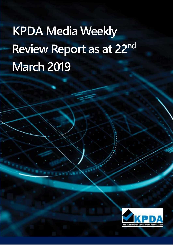# **KPDA Media Weekly Review Report as at 22nd March 2019**

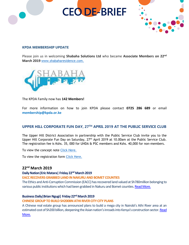# **CEO DE-BRIEF**



#### **KPDA MEMBERSHIP UPDATE**

Please join us in welcoming **Shabaha Solutions Ltd** who became **Associate Members on 22nd March 2019** [www.shabaharesidence.com.](http://www.shabaharesidence.com./)



The KPDA Family now has **142 Members!**

For more information on how to join KPDA please contact **0725 286 689** or email **membership@kpda.or.ke**

# **UPPER HILL CORPORATE FUN DAY, 27TH APRIL 2019 AT THE PUBLIC SERVICE CLUB**

The Upper Hill District Association in partnership with the Public Service Club invite you to the Upper Hill Corporate Fun Day on Saturday, 27<sup>th</sup> April 2019 at 10.00am at the Public Service Club. The registration fee is Kshs. 35, 000 for UHDA & PSC members and Kshs. 40,000 for non-members.

To view the concept note [Click Here.](../Desktop/WANGUI/Media%20Weekly%20Matters/media%20weekly%2022nd%20march/UPPER%20HILL%20FUN%20DAY.pdf)

To view the registration form [Click Here.](../Desktop/WANGUI/Media%20Weekly%20Matters/media%20weekly%2022nd%20march/UHCFD%20Registration%20form.docx)

# **22nd March 2019**

#### **Daily Nation|Eric Matara| Friday 22nd March 2019**

#### **EACC RECOVERS GRABBED LAND IN NAKURU AND BOMET COUNTIES**

The Ethics and Anti-Corruption Commission (EACC) has recovered land valued at Sh780million belonging to various public institutions which had been grabbed in Nakuru and Bomet counties. Read More.

#### **Business Daily|Brian Ngugi| Friday 22ndMarch 2019**

#### **CHINESE GROUP TO BUILD SH200BN ATHI RIVER CITY CITY PLANS**

A Chinese real estate group has announced plans to build a mega city in Nairobi's Athi River area at an estimated cost of Sh200 billion, deepening the Asian nation's inroads into Kenya's construction sector. Read [More.](https://www.businessdailyafrica.com/news/Chinese-group-to-build-Sh200bn-Athi-River-city-city-plans/539546-5036836-vnae2mz/index.html)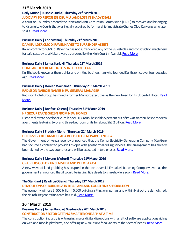# **21st March 2019**

# **Daily Nation| Rushdie Oudia| Thursday 21stMarch 2019**

#### **JUDICIARY TO REPOSSESS KISUMU LAND LOST IN SHADY DEALS**

A court on Thursday ordered the Ethics and Anti-Corruption Commission (EACC) to recover land belonging to Kisumu Law Courts that was illegally acquired by former chief magistrate Charles Oloo Kanyangi who later sold it. [Read More.](https://www.nation.co.ke/counties/kisumu/Judiciary-to-repossess-Kisumu-land-/1954182-5036004-vynk74z/index.html)

# **Business Daily | Eric Matara| Thursday 21st March 2019**

#### **DAM BUILDER CMC DI RAVENNA YET TO SURRENDER ASSETS**

Italian contractor CMC di Ravenna has not surrendered any of the 98 vehicles and construction machinery for safe custody to a Nakuru yard as ordered by the High Court in Nairobi. [Read More.](https://www.businessdailyafrica.com/news/counties/Italian-firm-in-dam-row-yet-to-surrender-assets/4003142-5035710-wiwt9l/index.html)

# **Business Daily | James Kariuki| Thursday 21stMarch 2019**

# **USING ART TO CREATE HOTELS' INTERIOR DECOR**

Kul Bhakoo is known as the graphics and printing businessman who founded Kul Graphics over four decades ago. [Read More.](https://www.businessdailyafrica.com/lifestyle/design/Using-art-create-hotels-interior-decor/4258320-5035954-94aap0/index.html)

# **Business Daily | Doreen Wainainah| Thursday 21stMarch 2019**

# **RADISSON NAIROBI NAMES NEW GENERAL MANAGER**

Radisson Hotel Group has hired a former Marriott executive as the new head for its Upperhill Hotel. Read [More.](https://www.businessdailyafrica.com/corporate/companies/Radisson-Nairobi-names-new-general-manager/4003102-5036378-ch8pjoz/index.html)

# **Business Daily | BonfaceOtieno| Thursday 21st March 2019**

# **HF GROUP EARNS SH2BN FROM NEW HOMES**

Listed real estate developer-cum-lender HF Group has sold 95 percent out of its 248 Kiambu-based modern apartments featuring two- and three-bedroom units for about Sh2.2 billion. [Read More.](https://www.businessdailyafrica.com/markets/marketnews/HF-Group-earns-Sh2bn-from-new-homes/3815534-5036334-w51xfc/index.html)

# **Business Daily | Fredrick Njehu| Thursday 21st March 2019**

# **LETTERS: GEOTHERMAL DEAL A BOOST TO RENEWABLE ENERGY**

The Government of Kenya recently announced that the Kenya Electricity Generating Company (KenGen) had secured a contract to provide Ethiopia with geothermal drilling services. The arrangement has already been signed by the two countries and will be executed in two phases. [Read More.](https://www.businessdailyafrica.com/analysis/letters/Geothermal-boost-renewable-energy/4307714-5036274-11e506s/index.html)

# **Business Daily | Mwangi Muiruri| Thursday 21stMarch 2019**

# **GRABBERS GO FOR UNCLAIMED LAND IN EMBAKASI**

A new wave of land grabbing has erupted in the controversial Embakasi Ranching Company even as the government announced that it would be issuing title deeds to shareholders soon. Read More.

# **The Standard | RawlingsOtieno| Thursday 21stMarch 2019**

# **DEMOLITIONS OF BUILDINGS IN RIPARIAN LAND COULD SINK SH500BILLION**

The economy will lose Sh500 billion if 5,000 buildings sitting on riparian land within Nairobi are demolished, the Nairobi Regeneration team has said. [Read More.](https://www.standardmedia.co.ke/business/article/2001317485/buildings-owners-get-state-reprieve)

# **20th March 2019**

# **Business Daily | James Kariuki| Wednesday 20thMarch 2019**

# **CONSTRUCTION SECTOR GETTING SMARTER ONE APP AT A TIME**

The construction industry is witnessing major digital disruptions with a raft of software applications riding on web and mobile platforms, and offering new solutions for a variety of the sectors' needs. [Read More.](https://www.businessdailyafrica.com/corporate/tech/Construction-getting-smarter-one-app-at-a-time/4258474-5034462-ad6xmpz/index.html)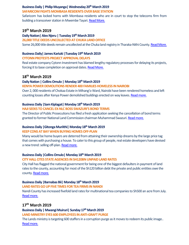# **Business Daily | Philip Muyanga| Wednesday 20th March 2019**

# **SAFARICOM FIGHTS MOMBASA RESIDENTS OVER BASE STATION**

Safaricom has locked horns with Mombasa residents who are in court to stop the telecoms firm from building a transceiver station in Mwembe Tayari. [Read More.](https://www.businessdailyafrica.com/corporate/companies/Safaricom-fights-Mombasa-residents/4003102-5034650-1xv5pm/index.html)

# **19th March 2019**

# **Daily Nation| Alex Njeru| Tuesday 19thMarch 2019**

# **26,000 TITLE DEEDS UNCOLLECTED AT CHUKA LAND OFFICE**

Some 26,000 title deeds remain uncollected at the Chuka land registry in Tharaka-Nithi County. Read More.

# **Business Daily| James Kariuki |Tuesday 19th March 2019**

#### **CYTONN PROTESTS PROJECT APPROVAL DELAYS**

Real estate company Cytonn Investment has blamed lengthy regulatory processes for delaying its projects, forcing it to base completion on approval dates. [Read More.](https://www.businessdailyafrica.com/markets/marketnews/Cytonn-protests-project-approval-delays/3815534-5032738-66fk0f/index.html)

# **18 th March 2019**

# **Daily Nation | Collins Omulo | Monday 18th March 2019**

#### **KENYA POWER DEMOLITIONS RENDER 400 FAMILIES HOMELESS IN NAIROBI**

Over 2, 000 residents of Chokaa Estate in Mihang'o Ward, Nairobi have been rendered homeless and left counting losses after Kenya Power demolished buildings erected on way leaves. [Read more.](https://www.nation.co.ke/news/Houses-near-power-lines-demolished-in-Nairobi/1056-5030678-34l802/index.html)

# **Business Daily |Sam Kiplagat| Monday 18thMarch 2019**

# **HAJI SEEKS TO CANCEL EX-NLC BOSS SWAZURI'S BOND TERMS**

The Director of Public Prosecutions has filed a fresh application seeking the cancellation of bond terms granted to former National Land Commission chairman Muhammad Swazuri. [Read more.](https://www.businessdailyafrica.com/economy/Haji-seeks-to-cancel-Swazuri-bond-terms/3946234-5031262-or1ndm/index.html)

# **Business Daily |Gitonga Muriithi| Monday 18th March 2019**

# **KEEP CONS AT BAY WHEN BUYING HOMES OFF-PLAN**

Many would be home buyers are deterred from attaining their ownership dreams by the large price tag that comes with purchasing a house. To cater to this group of people, real estate developers have devised a new trend: selling off-plan. [Read more.](https://www.businessdailyafrica.com/lifestyle/pfinance/avoid-cons-buying-homes-off-plan/4258410-5031098-14ak863/index.html)

# **Business Daily |Collins Omulo| Monday 18thMarch 2019**

# **CITY HALL CITES STATE AGENCIES IN SH120BN UNPAID LANDRATES**

City Hall has flagged the national government for being one of the biggest defaulters in payment of land rates to the county, accounting for most of the Sh120 billion debt the private and public entities owe the county. [Read more.](https://www.businessdailyafrica.com/economy/City-Hall-cites-State-agencies-in-Sh120bn-unpaid-land-rates/3946234-5031270-pvo47u/index.html)

# **Business Daily |Barnabas Bii| Monday 18thMarch 2019**

# **LAND RATES GO UP FIVE TIMES FOR TEA FIRMS IN NANDI**

Nandi County has increased fivefold land rates for multinational tea companies to Sh500 an acre from July. [Read more.](https://www.businessdailyafrica.com/news/counties/Land-rates-up-five-times-for-Nandi-tea-firms/4003142-5031108-dgt0cs/index.html)

# **17 th March 2019**

# **Business Daily | Mwangi Muiruri| Sunday 17thMarch 2019 LAND MINISTRY EYES 600 EMPLOYEES IN ANTI-GRAFT PURGE**

The Lands ministry is targeting 600 staffers in a corruption purge as it moves to redeem its public image.. [Read more.](https://www.businessdailyafrica.com/analysis/columnists/Land-ministry-staff-need-specialised-training/4259356-5018082-13l2kfaz/index.html)